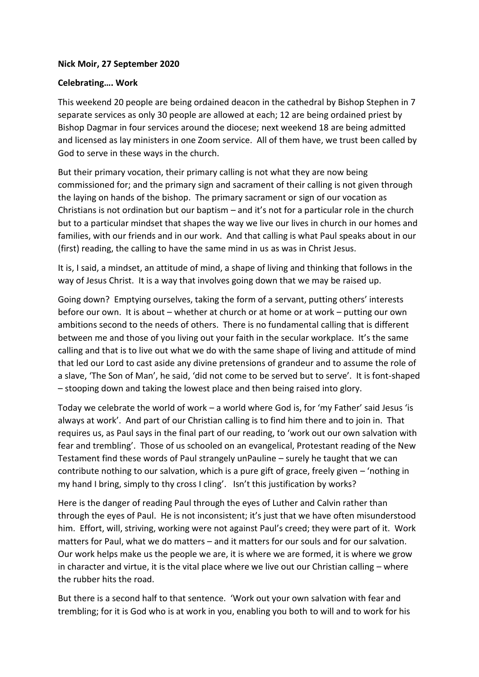## **Nick Moir, 27 September 2020**

## **Celebrating…. Work**

This weekend 20 people are being ordained deacon in the cathedral by Bishop Stephen in 7 separate services as only 30 people are allowed at each; 12 are being ordained priest by Bishop Dagmar in four services around the diocese; next weekend 18 are being admitted and licensed as lay ministers in one Zoom service. All of them have, we trust been called by God to serve in these ways in the church.

But their primary vocation, their primary calling is not what they are now being commissioned for; and the primary sign and sacrament of their calling is not given through the laying on hands of the bishop. The primary sacrament or sign of our vocation as Christians is not ordination but our baptism – and it's not for a particular role in the church but to a particular mindset that shapes the way we live our lives in church in our homes and families, with our friends and in our work. And that calling is what Paul speaks about in our (first) reading, the calling to have the same mind in us as was in Christ Jesus.

It is, I said, a mindset, an attitude of mind, a shape of living and thinking that follows in the way of Jesus Christ. It is a way that involves going down that we may be raised up.

Going down? Emptying ourselves, taking the form of a servant, putting others' interests before our own. It is about – whether at church or at home or at work – putting our own ambitions second to the needs of others. There is no fundamental calling that is different between me and those of you living out your faith in the secular workplace. It's the same calling and that is to live out what we do with the same shape of living and attitude of mind that led our Lord to cast aside any divine pretensions of grandeur and to assume the role of a slave, 'The Son of Man', he said, 'did not come to be served but to serve'. It is font-shaped – stooping down and taking the lowest place and then being raised into glory.

Today we celebrate the world of work – a world where God is, for 'my Father' said Jesus 'is always at work'. And part of our Christian calling is to find him there and to join in. That requires us, as Paul says in the final part of our reading, to 'work out our own salvation with fear and trembling'. Those of us schooled on an evangelical, Protestant reading of the New Testament find these words of Paul strangely unPauline – surely he taught that we can contribute nothing to our salvation, which is a pure gift of grace, freely given – 'nothing in my hand I bring, simply to thy cross I cling'. Isn't this justification by works?

Here is the danger of reading Paul through the eyes of Luther and Calvin rather than through the eyes of Paul. He is not inconsistent; it's just that we have often misunderstood him. Effort, will, striving, working were not against Paul's creed; they were part of it. Work matters for Paul, what we do matters – and it matters for our souls and for our salvation. Our work helps make us the people we are, it is where we are formed, it is where we grow in character and virtue, it is the vital place where we live out our Christian calling – where the rubber hits the road.

But there is a second half to that sentence. 'Work out your own salvation with fear and trembling; for it is God who is at work in you, enabling you both to will and to work for his